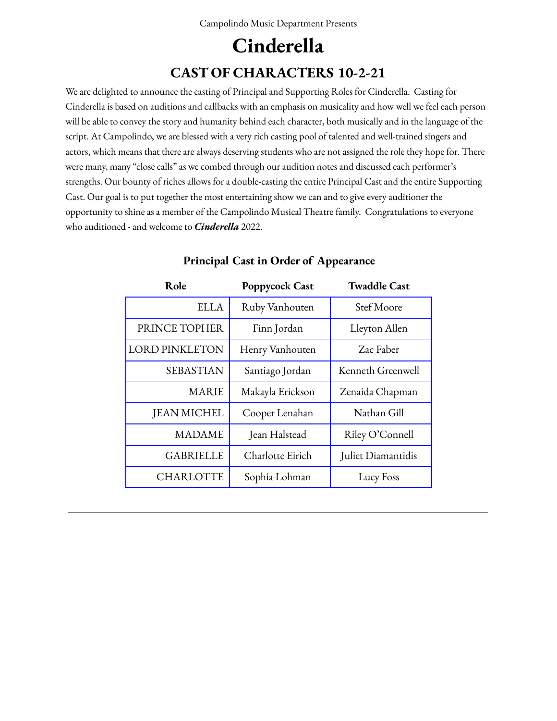## **Cinderella CAST OF CHARACTERS 10-2-21**

We are delighted to announce the casting of Principal and Supporting Roles for Cinderella. Casting for Cinderella is based on auditions and callbacks with an emphasis on musicality and how well we feel each person will be able to convey the story and humanity behind each character, both musically and in the language of the script. At Campolindo, we are blessed with a very rich casting pool of talented and well-trained singers and actors, which means that there are always deserving students who are not assigned the role they hope for. There were many, many "close calls" as we combed through our audition notes and discussed each performer's strengths. Our bounty of riches allows for a double-casting the entire Principal Cast and the entire Supporting Cast. Our goal is to put together the most entertaining show we can and to give every auditioner the opportunity to shine as a member of the Campolindo Musical Theatre family. Congratulations to everyone who auditioned - and welcome to *Cinderella* 2022.

| Role                  | <b>Poppycock Cast</b> | <b>Twaddle Cast</b> |
|-----------------------|-----------------------|---------------------|
| <b>ELLA</b>           | Ruby Vanhouten        | Stef Moore          |
| PRINCE TOPHER         | Finn Jordan           | Lleyton Allen       |
| <b>LORD PINKLETON</b> | Henry Vanhouten       | Zac Faber           |
| <b>SEBASTIAN</b>      | Santiago Jordan       | Kenneth Greenwell   |
| <b>MARIE</b>          | Makayla Erickson      | Zenaida Chapman     |
| <b>JEAN MICHEL</b>    | Cooper Lenahan        | Nathan Gill         |
| <b>MADAME</b>         | Jean Halstead         | Riley O'Connell     |
| <b>GABRIELLE</b>      | Charlotte Eirich      | Juliet Diamantidis  |
| <b>CHARLOTTE</b>      | Sophia Lohman         | Lucy Foss           |

#### **Principal Cast in Order of Appearance**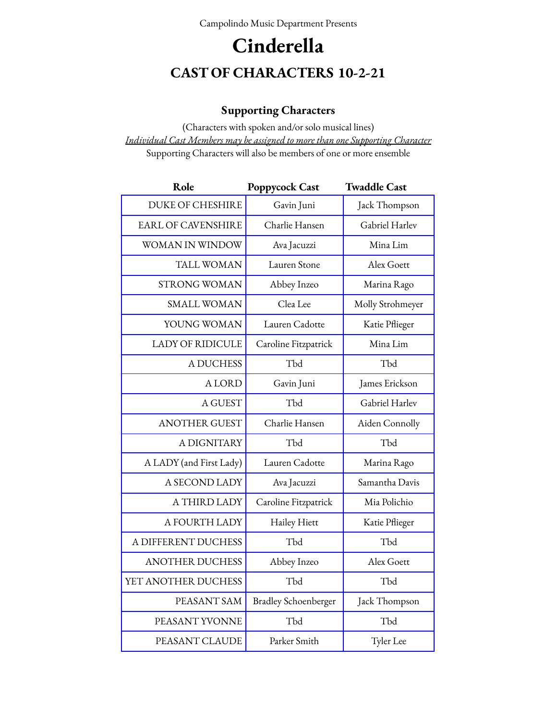# **Cinderella CAST OF CHARACTERS 10-2-21**

### **Supporting Characters**

(Characters with spoken and/or solo musical lines) *Individual Cast Members may be assigned to more than one Supporting Character* Supporting Characters will also be members of one or more ensemble

| Role                      | <b>Poppycock Cast</b>       | <b>Twaddle Cast</b> |
|---------------------------|-----------------------------|---------------------|
| <b>DUKE OF CHESHIRE</b>   | Gavin Juni                  | Jack Thompson       |
| <b>EARL OF CAVENSHIRE</b> | Charlie Hansen              | Gabriel Harlev      |
| WOMAN IN WINDOW           | Ava Jacuzzi                 | Mina Lim            |
| TALL WOMAN                | Lauren Stone                | Alex Goett          |
| <b>STRONG WOMAN</b>       | Abbey Inzeo                 | Marina Rago         |
| <b>SMALL WOMAN</b>        | Clea Lee                    | Molly Strohmeyer    |
| YOUNG WOMAN               | Lauren Cadotte              | Katie Pflieger      |
| <b>LADY OF RIDICULE</b>   | Caroline Fitzpatrick        | Mina Lim            |
| A DUCHESS                 | Tbd                         | Tbd                 |
| <b>ALORD</b>              | Gavin Juni                  | James Erickson      |
| A GUEST                   | Tbd                         | Gabriel Harlev      |
| <b>ANOTHER GUEST</b>      | Charlie Hansen              | Aiden Connolly      |
| A DIGNITARY               | Tbd                         | Tbd                 |
| A LADY (and First Lady)   | Lauren Cadotte              | Marina Rago         |
| A SECOND LADY             | Ava Jacuzzi                 | Samantha Davis      |
| A THIRD LADY              | Caroline Fitzpatrick        | Mia Polichio        |
| A FOURTH LADY             | Hailey Hiett                | Katie Pflieger      |
| A DIFFERENT DUCHESS       | Tbd                         | Tbd                 |
| <b>ANOTHER DUCHESS</b>    | Abbey Inzeo                 | Alex Goett          |
| YET ANOTHER DUCHESS       | Tbd                         | Tbd                 |
| PEASANT SAM               | <b>Bradley Schoenberger</b> | Jack Thompson       |
| PEASANT YVONNE            | Tbd                         | Tbd                 |
| PEASANT CLAUDE            | Parker Smith                | Tyler Lee           |